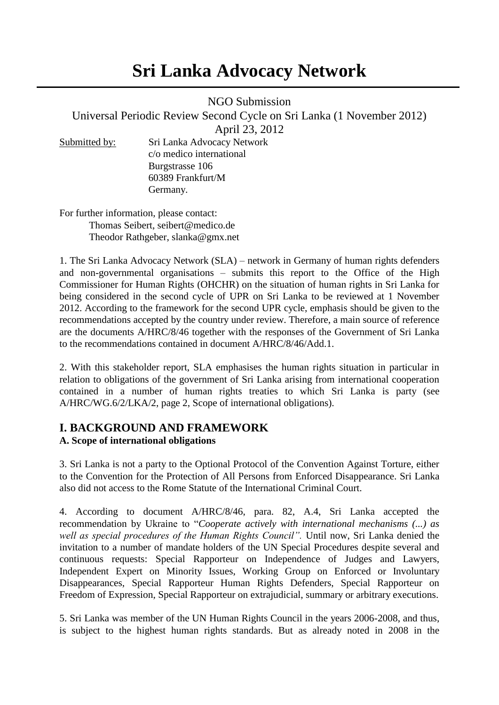# **Sri Lanka Advocacy Network**

NGO Submission

Universal Periodic Review Second Cycle on Sri Lanka (1 November 2012)

April 23, 2012

Submitted by: Sri Lanka Advocacy Network c/o medico international Burgstrasse 106 60389 Frankfurt/M Germany.

For further information, please contact: Thomas Seibert, seibert@medico.de Theodor Rathgeber, slanka@gmx.net

1. The Sri Lanka Advocacy Network (SLA) – network in Germany of human rights defenders and non-governmental organisations – submits this report to the Office of the High Commissioner for Human Rights (OHCHR) on the situation of human rights in Sri Lanka for being considered in the second cycle of UPR on Sri Lanka to be reviewed at 1 November 2012. According to the framework for the second UPR cycle, emphasis should be given to the recommendations accepted by the country under review. Therefore, a main source of reference are the documents A/HRC/8/46 together with the responses of the Government of Sri Lanka to the recommendations contained in document A/HRC/8/46/Add.1.

2. With this stakeholder report, SLA emphasises the human rights situation in particular in relation to obligations of the government of Sri Lanka arising from international cooperation contained in a number of human rights treaties to which Sri Lanka is party (see A/HRC/WG.6/2/LKA/2, page 2, Scope of international obligations).

## **I. BACKGROUND AND FRAMEWORK**

### **A. Scope of international obligations**

3. Sri Lanka is not a party to the Optional Protocol of the Convention Against Torture, either to the Convention for the Protection of All Persons from Enforced Disappearance. Sri Lanka also did not access to the Rome Statute of the International Criminal Court.

4. According to document A/HRC/8/46, para. 82, A.4, Sri Lanka accepted the recommendation by Ukraine to "*Cooperate actively with international mechanisms (...) as well as special procedures of the Human Rights Council".* Until now, Sri Lanka denied the invitation to a number of mandate holders of the UN Special Procedures despite several and continuous requests: Special Rapporteur on Independence of Judges and Lawyers, Independent Expert on Minority Issues, Working Group on Enforced or Involuntary Disappearances, Special Rapporteur Human Rights Defenders, Special Rapporteur on Freedom of Expression, Special Rapporteur on extrajudicial, summary or arbitrary executions.

5. Sri Lanka was member of the UN Human Rights Council in the years 2006-2008, and thus, is subject to the highest human rights standards. But as already noted in 2008 in the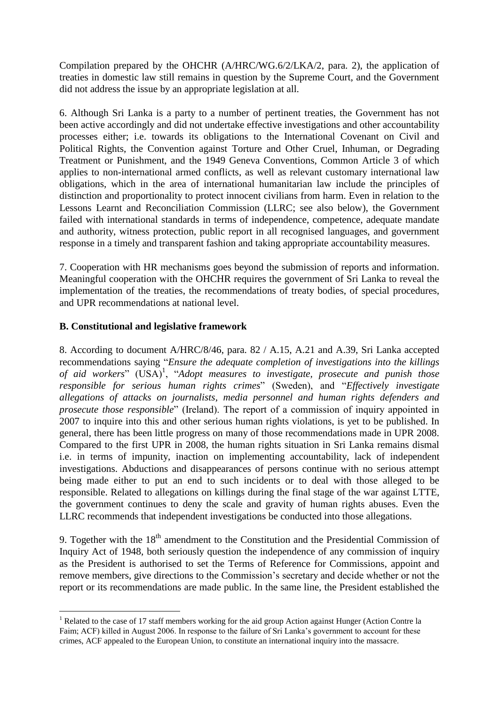Compilation prepared by the OHCHR (A/HRC/WG.6/2/LKA/2, para. 2), the application of treaties in domestic law still remains in question by the Supreme Court, and the Government did not address the issue by an appropriate legislation at all.

6. Although Sri Lanka is a party to a number of pertinent treaties, the Government has not been active accordingly and did not undertake effective investigations and other accountability processes either; i.e. towards its obligations to the International Covenant on Civil and Political Rights, the Convention against Torture and Other Cruel, Inhuman, or Degrading Treatment or Punishment, and the 1949 Geneva Conventions, Common Article 3 of which applies to non-international armed conflicts, as well as relevant customary international law obligations, which in the area of international humanitarian law include the principles of distinction and proportionality to protect innocent civilians from harm. Even in relation to the Lessons Learnt and Reconciliation Commission (LLRC; see also below), the Government failed with international standards in terms of independence, competence, adequate mandate and authority, witness protection, public report in all recognised languages, and government response in a timely and transparent fashion and taking appropriate accountability measures.

7. Cooperation with HR mechanisms goes beyond the submission of reports and information. Meaningful cooperation with the OHCHR requires the government of Sri Lanka to reveal the implementation of the treaties, the recommendations of treaty bodies, of special procedures, and UPR recommendations at national level.

#### **B. Constitutional and legislative framework**

 $\overline{a}$ 

8. According to document A/HRC/8/46, para. 82 / A.15, A.21 and A.39, Sri Lanka accepted recommendations saying "*Ensure the adequate completion of investigations into the killings*  of aid workers" (USA)<sup>1</sup>, "Adopt measures to investigate, prosecute and punish those *responsible for serious human rights crimes*" (Sweden), and "*Effectively investigate allegations of attacks on journalists, media personnel and human rights defenders and prosecute those responsible*" (Ireland). The report of a commission of inquiry appointed in 2007 to inquire into this and other serious human rights violations, is yet to be published. In general, there has been little progress on many of those recommendations made in UPR 2008. Compared to the first UPR in 2008, the human rights situation in Sri Lanka remains dismal i.e. in terms of impunity, inaction on implementing accountability, lack of independent investigations. Abductions and disappearances of persons continue with no serious attempt being made either to put an end to such incidents or to deal with those alleged to be responsible. Related to allegations on killings during the final stage of the war against LTTE, the government continues to deny the scale and gravity of human rights abuses. Even the LLRC recommends that independent investigations be conducted into those allegations.

9. Together with the  $18<sup>th</sup>$  amendment to the Constitution and the Presidential Commission of Inquiry Act of 1948, both seriously question the independence of any commission of inquiry as the President is authorised to set the Terms of Reference for Commissions, appoint and remove members, give directions to the Commission"s secretary and decide whether or not the report or its recommendations are made public. In the same line, the President established the

<sup>&</sup>lt;sup>1</sup> Related to the case of 17 staff members working for the aid group Action against Hunger (Action Contre la Faim; ACF) killed in August 2006. In response to the failure of Sri Lanka"s government to account for these crimes, ACF appealed to the European Union, to constitute an international inquiry into the massacre.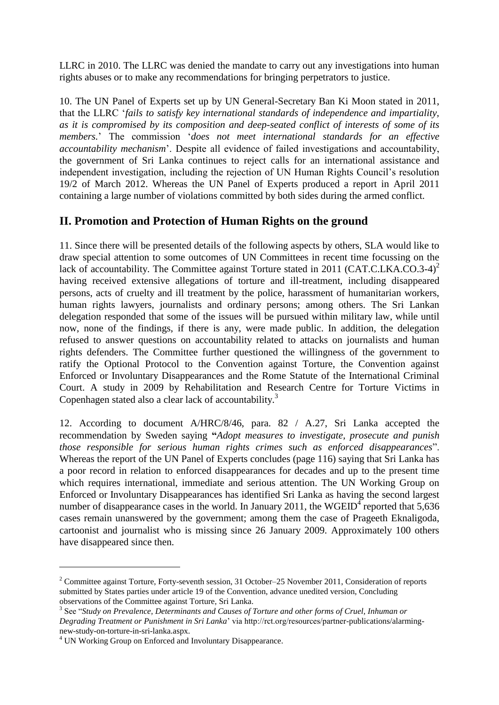LLRC in 2010. The LLRC was denied the mandate to carry out any investigations into human rights abuses or to make any recommendations for bringing perpetrators to justice.

10. The UN Panel of Experts set up by UN General-Secretary Ban Ki Moon stated in 2011, that the LLRC "*fails to satisfy key international standards of independence and impartiality, as it is compromised by its composition and deep-seated conflict of interests of some of its members.*" The commission "*does not meet international standards for an effective accountability mechanism*". Despite all evidence of failed investigations and accountability, the government of Sri Lanka continues to reject calls for an international assistance and independent investigation, including the rejection of UN Human Rights Council"s resolution 19/2 of March 2012. Whereas the UN Panel of Experts produced a report in April 2011 containing a large number of violations committed by both sides during the armed conflict.

## **II. Promotion and Protection of Human Rights on the ground**

11. Since there will be presented details of the following aspects by others, SLA would like to draw special attention to some outcomes of UN Committees in recent time focussing on the lack of accountability. The Committee against Torture stated in 2011 (CAT.C.LKA.CO.3-4)<sup>2</sup> having received extensive allegations of torture and ill-treatment, including disappeared persons, acts of cruelty and ill treatment by the police, harassment of humanitarian workers, human rights lawyers, journalists and ordinary persons; among others. The Sri Lankan delegation responded that some of the issues will be pursued within military law, while until now, none of the findings, if there is any, were made public. In addition, the delegation refused to answer questions on accountability related to attacks on journalists and human rights defenders. The Committee further questioned the willingness of the government to ratify the Optional Protocol to the Convention against Torture, the Convention against Enforced or Involuntary Disappearances and the Rome Statute of the International Criminal Court. A study in 2009 by Rehabilitation and Research Centre for Torture Victims in Copenhagen stated also a clear lack of accountability.<sup>3</sup>

12. According to document A/HRC/8/46, para. 82 / A.27, Sri Lanka accepted the recommendation by Sweden saying **"***Adopt measures to investigate, prosecute and punish those responsible for serious human rights crimes such as enforced disappearances*". Whereas the report of the UN Panel of Experts concludes (page 116) saying that Sri Lanka has a poor record in relation to enforced disappearances for decades and up to the present time which requires international, immediate and serious attention. The UN Working Group on Enforced or Involuntary Disappearances has identified Sri Lanka as having the second largest number of disappearance cases in the world. In January 2011, the WGEID<sup>4</sup> reported that 5,636 cases remain unanswered by the government; among them the case of Prageeth Eknaligoda, cartoonist and journalist who is missing since 26 January 2009. Approximately 100 others have disappeared since then.

 $\overline{a}$ 

<sup>&</sup>lt;sup>2</sup> Committee against Torture, Forty-seventh session, 31 October–25 November 2011, Consideration of reports submitted by States parties under article 19 of the Convention, advance unedited version, Concluding observations of the Committee against Torture, Sri Lanka.

<sup>&</sup>lt;sup>3</sup> See "Study on Prevalence, Determinants and Causes of Torture and other forms of Cruel, Inhuman or *Degrading Treatment or Punishment in Sri Lanka*" via http://rct.org/resources/partner-publications/alarmingnew-study-on-torture-in-sri-lanka.aspx.

<sup>&</sup>lt;sup>4</sup> UN Working Group on Enforced and Involuntary Disappearance.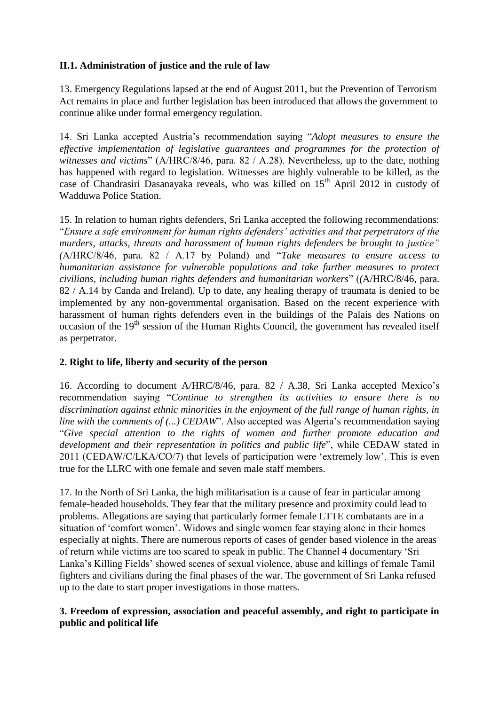#### **II.1. Administration of justice and the rule of law**

13. Emergency Regulations lapsed at the end of August 2011, but the Prevention of Terrorism Act remains in place and further legislation has been introduced that allows the government to continue alike under formal emergency regulation.

14. Sri Lanka accepted Austria"s recommendation saying "*Adopt measures to ensure the effective implementation of legislative guarantees and programmes for the protection of witnesses and victims*" (A/HRC/8/46, para. 82 / A.28). Nevertheless, up to the date, nothing has happened with regard to legislation. Witnesses are highly vulnerable to be killed, as the case of Chandrasiri Dasanayaka reveals, who was killed on  $15<sup>th</sup>$  April 2012 in custody of Wadduwa Police Station.

15. In relation to human rights defenders, Sri Lanka accepted the following recommendations: "*Ensure a safe environment for human rights defenders' activities and that perpetrators of the murders, attacks, threats and harassment of human rights defenders be brought to justice" (*A/HRC/8/46, para. 82 / A.17 by Poland) and "*Take measures to ensure access to humanitarian assistance for vulnerable populations and take further measures to protect civilians, including human rights defenders and humanitarian workers*" (*(*A/HRC/8/46, para. 82 / A.14 by Canda and Ireland). Up to date, any healing therapy of traumata is denied to be implemented by any non-governmental organisation. Based on the recent experience with harassment of human rights defenders even in the buildings of the Palais des Nations on occasion of the 19<sup>th</sup> session of the Human Rights Council, the government has revealed itself as perpetrator.

#### **2. Right to life, liberty and security of the person**

16. According to document A/HRC/8/46, para. 82 / A.38, Sri Lanka accepted Mexico"s recommendation saying "*Continue to strengthen its activities to ensure there is no discrimination against ethnic minorities in the enjoyment of the full range of human rights, in line with the comments of (...) CEDAW*". Also accepted was Algeria's recommendation saying "*Give special attention to the rights of women and further promote education and development and their representation in politics and public life*", while CEDAW stated in 2011 (CEDAW/C/LKA/CO/7) that levels of participation were "extremely low". This is even true for the LLRC with one female and seven male staff members.

17. In the North of Sri Lanka, the high militarisation is a cause of fear in particular among female-headed households. They fear that the military presence and proximity could lead to problems. Allegations are saying that particularly former female LTTE combatants are in a situation of "comfort women". Widows and single women fear staying alone in their homes especially at nights. There are numerous reports of cases of gender based violence in the areas of return while victims are too scared to speak in public. The Channel 4 documentary "Sri Lanka"s Killing Fields" showed scenes of sexual violence, abuse and killings of female Tamil fighters and civilians during the final phases of the war. The government of Sri Lanka refused up to the date to start proper investigations in those matters.

#### **3. Freedom of expression, association and peaceful assembly, and right to participate in public and political life**